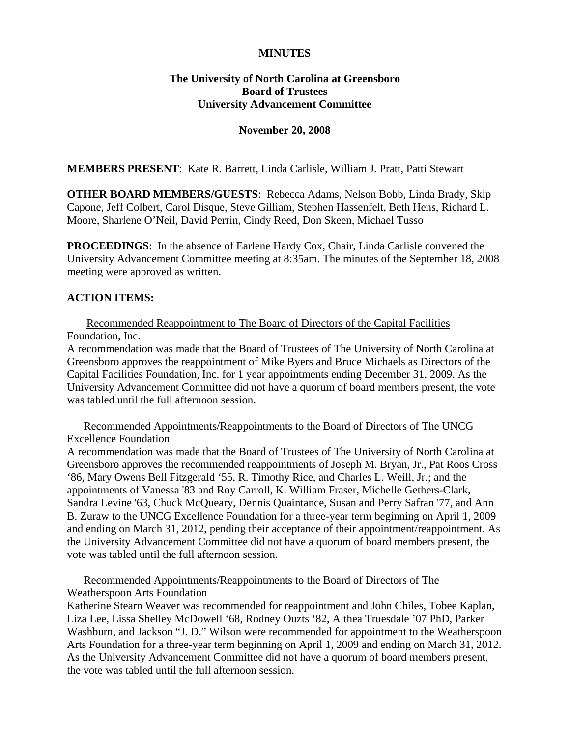#### **MINUTES**

# **The University of North Carolina at Greensboro Board of Trustees University Advancement Committee**

#### **November 20, 2008**

**MEMBERS PRESENT**: Kate R. Barrett, Linda Carlisle, William J. Pratt, Patti Stewart

**OTHER BOARD MEMBERS/GUESTS**: Rebecca Adams, Nelson Bobb, Linda Brady, Skip Capone, Jeff Colbert, Carol Disque, Steve Gilliam, Stephen Hassenfelt, Beth Hens, Richard L. Moore, Sharlene O'Neil, David Perrin, Cindy Reed, Don Skeen, Michael Tusso

**PROCEEDINGS**: In the absence of Earlene Hardy Cox, Chair, Linda Carlisle convened the University Advancement Committee meeting at 8:35am. The minutes of the September 18, 2008 meeting were approved as written.

# **ACTION ITEMS:**

# Recommended Reappointment to The Board of Directors of the Capital Facilities Foundation, Inc.

A recommendation was made that the Board of Trustees of The University of North Carolina at Greensboro approves the reappointment of Mike Byers and Bruce Michaels as Directors of the Capital Facilities Foundation, Inc. for 1 year appointments ending December 31, 2009. As the University Advancement Committee did not have a quorum of board members present, the vote was tabled until the full afternoon session.

Recommended Appointments/Reappointments to the Board of Directors of The UNCG Excellence Foundation

A recommendation was made that the Board of Trustees of The University of North Carolina at Greensboro approves the recommended reappointments of Joseph M. Bryan, Jr., Pat Roos Cross '86, Mary Owens Bell Fitzgerald '55, R. Timothy Rice, and Charles L. Weill, Jr.; and the appointments of Vanessa '83 and Roy Carroll, K. William Fraser, Michelle Gethers-Clark, Sandra Levine '63, Chuck McQueary, Dennis Quaintance, Susan and Perry Safran '77, and Ann B. Zuraw to the UNCG Excellence Foundation for a three-year term beginning on April 1, 2009 and ending on March 31, 2012, pending their acceptance of their appointment/reappointment. As the University Advancement Committee did not have a quorum of board members present, the vote was tabled until the full afternoon session.

Recommended Appointments/Reappointments to the Board of Directors of The Weatherspoon Arts Foundation

Katherine Stearn Weaver was recommended for reappointment and John Chiles, Tobee Kaplan, Liza Lee, Lissa Shelley McDowell '68, Rodney Ouzts '82, Althea Truesdale '07 PhD, Parker Washburn, and Jackson "J. D." Wilson were recommended for appointment to the Weatherspoon Arts Foundation for a three-year term beginning on April 1, 2009 and ending on March 31, 2012. As the University Advancement Committee did not have a quorum of board members present, the vote was tabled until the full afternoon session.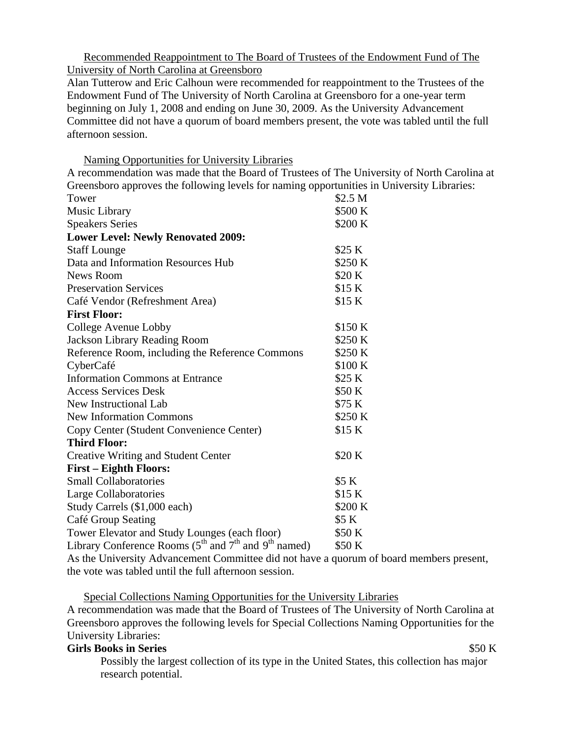Recommended Reappointment to The Board of Trustees of the Endowment Fund of The University of North Carolina at Greensboro

Alan Tutterow and Eric Calhoun were recommended for reappointment to the Trustees of the Endowment Fund of The University of North Carolina at Greensboro for a one-year term beginning on July 1, 2008 and ending on June 30, 2009. As the University Advancement Committee did not have a quorum of board members present, the vote was tabled until the full afternoon session.

Naming Opportunities for University Libraries

A recommendation was made that the Board of Trustees of The University of North Carolina at Greensboro approves the following levels for naming opportunities in University Libraries:

| Tower                                                                                    | \$2.5 M |
|------------------------------------------------------------------------------------------|---------|
| Music Library                                                                            | \$500 K |
| <b>Speakers Series</b>                                                                   | \$200 K |
| <b>Lower Level: Newly Renovated 2009:</b>                                                |         |
| <b>Staff Lounge</b>                                                                      | \$25 K  |
| Data and Information Resources Hub                                                       | \$250 K |
| News Room                                                                                | \$20 K  |
| <b>Preservation Services</b>                                                             | \$15 K  |
| Café Vendor (Refreshment Area)                                                           | \$15 K  |
| <b>First Floor:</b>                                                                      |         |
| College Avenue Lobby                                                                     | \$150 K |
| <b>Jackson Library Reading Room</b>                                                      | \$250 K |
| Reference Room, including the Reference Commons                                          | \$250 K |
| CyberCafé                                                                                | \$100 K |
| <b>Information Commons at Entrance</b>                                                   | \$25 K  |
| <b>Access Services Desk</b>                                                              | \$50 K  |
| <b>New Instructional Lab</b>                                                             | \$75 K  |
| <b>New Information Commons</b>                                                           | \$250 K |
| Copy Center (Student Convenience Center)                                                 | \$15 K  |
| <b>Third Floor:</b>                                                                      |         |
| <b>Creative Writing and Student Center</b>                                               | \$20K   |
| <b>First - Eighth Floors:</b>                                                            |         |
| <b>Small Collaboratories</b>                                                             | \$5 K   |
| Large Collaboratories                                                                    | \$15 K  |
| Study Carrels (\$1,000 each)                                                             | \$200 K |
| Café Group Seating                                                                       | \$5 K   |
| Tower Elevator and Study Lounges (each floor)                                            | \$50 K  |
| Library Conference Rooms (5 <sup>th</sup> and 7 <sup>th</sup> and 9 <sup>th</sup> named) | \$50 K  |

As the University Advancement Committee did not have a quorum of board members present, the vote was tabled until the full afternoon session.

Special Collections Naming Opportunities for the University Libraries

A recommendation was made that the Board of Trustees of The University of North Carolina at Greensboro approves the following levels for Special Collections Naming Opportunities for the University Libraries:

# **Girls Books in Series** \$50 K

Possibly the largest collection of its type in the United States, this collection has major research potential.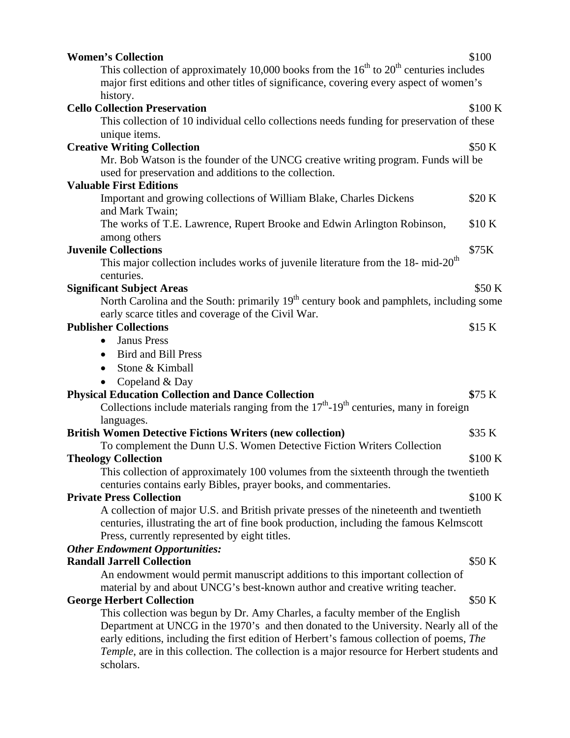| <b>Women's Collection</b>                                                                                                                                                                                                                                                                                                                                          | \$100   |
|--------------------------------------------------------------------------------------------------------------------------------------------------------------------------------------------------------------------------------------------------------------------------------------------------------------------------------------------------------------------|---------|
| This collection of approximately 10,000 books from the $16th$ to $20th$ centuries includes                                                                                                                                                                                                                                                                         |         |
| major first editions and other titles of significance, covering every aspect of women's                                                                                                                                                                                                                                                                            |         |
| history.                                                                                                                                                                                                                                                                                                                                                           |         |
| <b>Cello Collection Preservation</b>                                                                                                                                                                                                                                                                                                                               | \$100 K |
| This collection of 10 individual cello collections needs funding for preservation of these                                                                                                                                                                                                                                                                         |         |
| unique items.                                                                                                                                                                                                                                                                                                                                                      |         |
| <b>Creative Writing Collection</b>                                                                                                                                                                                                                                                                                                                                 | \$50 K  |
| Mr. Bob Watson is the founder of the UNCG creative writing program. Funds will be<br>used for preservation and additions to the collection.                                                                                                                                                                                                                        |         |
| <b>Valuable First Editions</b>                                                                                                                                                                                                                                                                                                                                     |         |
| Important and growing collections of William Blake, Charles Dickens<br>and Mark Twain;                                                                                                                                                                                                                                                                             | \$20 K  |
| The works of T.E. Lawrence, Rupert Brooke and Edwin Arlington Robinson,<br>among others                                                                                                                                                                                                                                                                            | \$10 K  |
| <b>Juvenile Collections</b>                                                                                                                                                                                                                                                                                                                                        | \$75K   |
| This major collection includes works of juvenile literature from the 18- mid-20 <sup>th</sup>                                                                                                                                                                                                                                                                      |         |
| centuries.                                                                                                                                                                                                                                                                                                                                                         |         |
| <b>Significant Subject Areas</b>                                                                                                                                                                                                                                                                                                                                   | \$50 K  |
| North Carolina and the South: primarily 19 <sup>th</sup> century book and pamphlets, including some<br>early scarce titles and coverage of the Civil War.                                                                                                                                                                                                          |         |
| <b>Publisher Collections</b>                                                                                                                                                                                                                                                                                                                                       | \$15 K  |
| Janus Press<br>$\bullet$                                                                                                                                                                                                                                                                                                                                           |         |
| <b>Bird and Bill Press</b>                                                                                                                                                                                                                                                                                                                                         |         |
| Stone & Kimball<br>$\bullet$                                                                                                                                                                                                                                                                                                                                       |         |
| Copeland & Day                                                                                                                                                                                                                                                                                                                                                     |         |
| <b>Physical Education Collection and Dance Collection</b>                                                                                                                                                                                                                                                                                                          | \$75 K  |
| Collections include materials ranging from the $17th$ -19 <sup>th</sup> centuries, many in foreign                                                                                                                                                                                                                                                                 |         |
| languages.                                                                                                                                                                                                                                                                                                                                                         |         |
| <b>British Women Detective Fictions Writers (new collection)</b>                                                                                                                                                                                                                                                                                                   | \$35 K  |
| To complement the Dunn U.S. Women Detective Fiction Writers Collection                                                                                                                                                                                                                                                                                             |         |
| <b>Theology Collection</b>                                                                                                                                                                                                                                                                                                                                         | \$100 K |
| This collection of approximately 100 volumes from the sixteenth through the twentieth                                                                                                                                                                                                                                                                              |         |
| centuries contains early Bibles, prayer books, and commentaries.                                                                                                                                                                                                                                                                                                   |         |
| <b>Private Press Collection</b>                                                                                                                                                                                                                                                                                                                                    | \$100 K |
| A collection of major U.S. and British private presses of the nineteenth and twentieth<br>centuries, illustrating the art of fine book production, including the famous Kelmscott<br>Press, currently represented by eight titles.                                                                                                                                 |         |
| <b>Other Endowment Opportunities:</b>                                                                                                                                                                                                                                                                                                                              |         |
| <b>Randall Jarrell Collection</b>                                                                                                                                                                                                                                                                                                                                  | \$50 K  |
| An endowment would permit manuscript additions to this important collection of<br>material by and about UNCG's best-known author and creative writing teacher.                                                                                                                                                                                                     |         |
| <b>George Herbert Collection</b>                                                                                                                                                                                                                                                                                                                                   | \$50 K  |
| This collection was begun by Dr. Amy Charles, a faculty member of the English<br>Department at UNCG in the 1970's and then donated to the University. Nearly all of the<br>early editions, including the first edition of Herbert's famous collection of poems, The<br>Temple, are in this collection. The collection is a major resource for Herbert students and |         |
| scholars.                                                                                                                                                                                                                                                                                                                                                          |         |